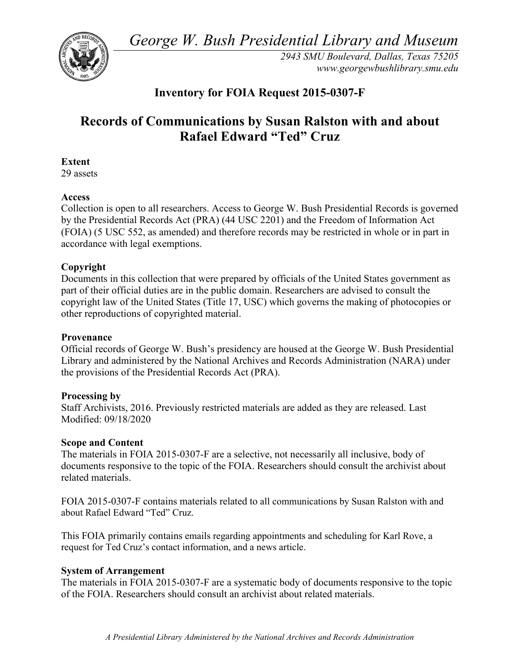*George W. Bush Presidential Library and Museum* 



 *2943 SMU Boulevard, Dallas, Texas 75205 <www.georgewbushlibrary.smu.edu>*

## **Inventory for FOIA Request 2015-0307-F**

# **Records of Communications by Susan Ralston with and about Rafael Edward "Ted" Cruz**

## **Extent**

29 assets

#### **Access**

 by the Presidential Records Act (PRA) (44 USC 2201) and the Freedom of Information Act Collection is open to all researchers. Access to George W. Bush Presidential Records is governed (FOIA) (5 USC 552, as amended) and therefore records may be restricted in whole or in part in accordance with legal exemptions.

### **Copyright**

 Documents in this collection that were prepared by officials of the United States government as part of their official duties are in the public domain. Researchers are advised to consult the copyright law of the United States (Title 17, USC) which governs the making of photocopies or other reproductions of copyrighted material.

#### **Provenance**

 Official records of George W. Bush's presidency are housed at the George W. Bush Presidential Library and administered by the National Archives and Records Administration (NARA) under the provisions of the Presidential Records Act (PRA).

#### **Processing by**

 Modified: 09/18/2020 Staff Archivists, 2016. Previously restricted materials are added as they are released. Last

#### **Scope and Content**

The materials in FOIA 2015-0307-F are a selective, not necessarily all inclusive, body of documents responsive to the topic of the FOIA. Researchers should consult the archivist about related materials.

FOIA 2015-0307-F contains materials related to all communications by Susan Ralston with and about Rafael Edward "Ted" Cruz.

This FOIA primarily contains emails regarding appointments and scheduling for Karl Rove, a request for Ted Cruz's contact information, and a news article.

### **System of Arrangement**

 The materials in FOIA 2015-0307-F are a systematic body of documents responsive to the topic of the FOIA. Researchers should consult an archivist about related materials.